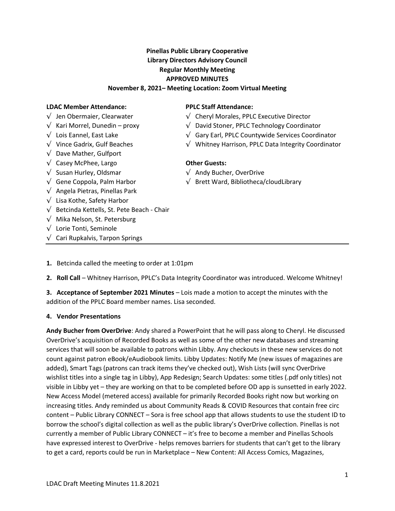# Pinellas Public Library Cooperative Library Directors Advisory Council Regular Monthly Meeting APPROVED MINUTES

#### November 8, 2021– Meeting Location: Zoom Virtual Meeting

#### LDAC Member Attendance: PPLC Staff Attendance:

- $\sqrt{\phantom{a}}$  Jen Obermaier. Clearwater
- $\sqrt{ }$  Kari Morrel, Dunedin proxy
- $\sqrt{\phantom{a}}$  Lois Eannel, East Lake
- 
- $\sqrt{ }$  Dave Mather, Gulfport
- $\sqrt{\phantom{a}}$  Casey McPhee, Largo  $\sqrt{\phantom{a}}$  **Other Guests:**
- 
- $\sqrt{\phantom{a}}$  Gene Coppola, Palm Harbor
- √ Angela Pietras, Pinellas Park
- √ Lisa Kothe, Safety Harbor
- $\sqrt{ }$  Betcinda Kettells, St. Pete Beach Chair
- $\sqrt{ }$  Mika Nelson, St. Petersburg
- √ Lorie Tonti, Seminole
- $\sqrt{\phantom{a}}$  Cari Rupkalvis, Tarpon Springs

- $\sqrt{\phantom{a}}$  Cheryl Morales, PPLC Executive Director
- $\sqrt{\phantom{a}}$  David Stoner, PPLC Technology Coordinator
- √ Gary Earl, PPLC Countywide Services Coordinator
- √ Vince Gadrix, Gulf Beaches √ Whitney Harrison, PPLC Data Integrity Coordinator

- $\sqrt{\phantom{a}}$  Susan Hurley, Oldsmar  $\sqrt{\phantom{a}}$  Andy Bucher, OverDrive
	- $\sqrt{\phantom{a}}$  Brett Ward, Bibliotheca/cloudLibrary

1. Betcinda called the meeting to order at 1:01pm

2. Roll Call - Whitney Harrison, PPLC's Data Integrity Coordinator was introduced. Welcome Whitney!

3. Acceptance of September 2021 Minutes - Lois made a motion to accept the minutes with the addition of the PPLC Board member names. Lisa seconded.

#### 4. Vendor Presentations

Andy Bucher from OverDrive: Andy shared a PowerPoint that he will pass along to Cheryl. He discussed OverDrive's acquisition of Recorded Books as well as some of the other new databases and streaming services that will soon be available to patrons within Libby. Any checkouts in these new services do not count against patron eBook/eAudiobook limits. Libby Updates: Notify Me (new issues of magazines are added), Smart Tags (patrons can track items they've checked out), Wish Lists (will sync OverDrive wishlist titles into a single tag in Libby), App Redesign; Search Updates: some titles (.pdf only titles) not visible in Libby yet – they are working on that to be completed before OD app is sunsetted in early 2022. New Access Model (metered access) available for primarily Recorded Books right now but working on increasing titles. Andy reminded us about Community Reads & COVID Resources that contain free circ content – Public Library CONNECT – Sora is free school app that allows students to use the student ID to borrow the school's digital collection as well as the public library's OverDrive collection. Pinellas is not currently a member of Public Library CONNECT – it's free to become a member and Pinellas Schools have expressed interest to OverDrive - helps removes barriers for students that can't get to the library to get a card, reports could be run in Marketplace – New Content: All Access Comics, Magazines,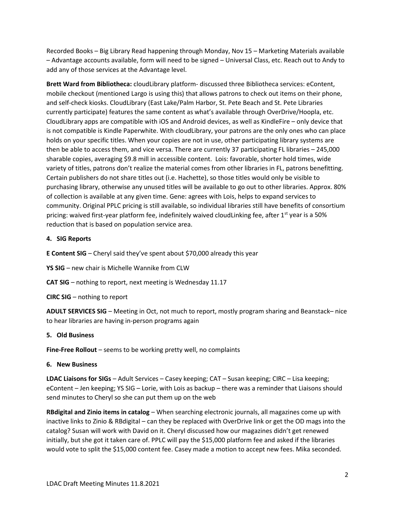Recorded Books – Big Library Read happening through Monday, Nov 15 – Marketing Materials available – Advantage accounts available, form will need to be signed – Universal Class, etc. Reach out to Andy to add any of those services at the Advantage level.

Brett Ward from Bibliotheca: cloudLibrary platform- discussed three Bibliotheca services: eContent, mobile checkout (mentioned Largo is using this) that allows patrons to check out items on their phone, and self-check kiosks. CloudLibrary (East Lake/Palm Harbor, St. Pete Beach and St. Pete Libraries currently participate) features the same content as what's available through OverDrive/Hoopla, etc. CloudLibrary apps are compatible with iOS and Android devices, as well as KindleFire – only device that is not compatible is Kindle Paperwhite. With cloudLibrary, your patrons are the only ones who can place holds on your specific titles. When your copies are not in use, other participating library systems are then be able to access them, and vice versa. There are currently 37 participating FL libraries – 245,000 sharable copies, averaging \$9.8 mill in accessible content. Lois: favorable, shorter hold times, wide variety of titles, patrons don't realize the material comes from other libraries in FL, patrons benefitting. Certain publishers do not share titles out (i.e. Hachette), so those titles would only be visible to purchasing library, otherwise any unused titles will be available to go out to other libraries. Approx. 80% of collection is available at any given time. Gene: agrees with Lois, helps to expand services to community. Original PPLC pricing is still available, so individual libraries still have benefits of consortium pricing: waived first-year platform fee, indefinitely waived cloudLinking fee, after  $1^{st}$  year is a 50% reduction that is based on population service area.

## 4. SIG Reports

E Content SIG - Cheryl said they've spent about \$70,000 already this year

YS SIG – new chair is Michelle Wannike from CLW

CAT SIG - nothing to report, next meeting is Wednesday 11.17

CIRC SIG – nothing to report

ADULT SERVICES SIG - Meeting in Oct, not much to report, mostly program sharing and Beanstack-nice to hear libraries are having in-person programs again

### 5. Old Business

Fine-Free Rollout - seems to be working pretty well, no complaints

### 6. New Business

 LDAC Liaisons for SIGs – Adult Services – Casey keeping; CAT – Susan keeping; CIRC – Lisa keeping; eContent – Jen keeping; YS SIG – Lorie, with Lois as backup – there was a reminder that Liaisons should send minutes to Cheryl so she can put them up on the web

RBdigital and Zinio items in catalog - When searching electronic journals, all magazines come up with inactive links to Zinio & RBdigital – can they be replaced with OverDrive link or get the OD mags into the catalog? Susan will work with David on it. Cheryl discussed how our magazines didn't get renewed initially, but she got it taken care of. PPLC will pay the \$15,000 platform fee and asked if the libraries would vote to split the \$15,000 content fee. Casey made a motion to accept new fees. Mika seconded.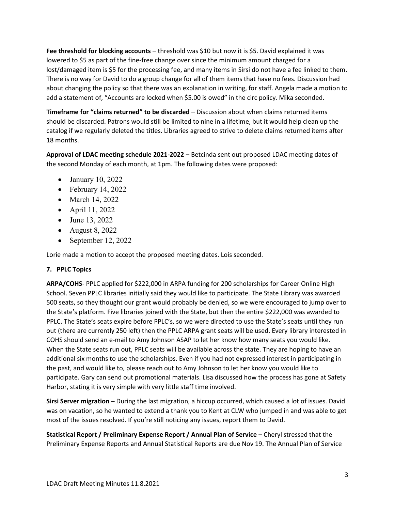Fee threshold for blocking accounts - threshold was \$10 but now it is \$5. David explained it was lowered to \$5 as part of the fine-free change over since the minimum amount charged for a lost/damaged item is \$5 for the processing fee, and many items in Sirsi do not have a fee linked to them. There is no way for David to do a group change for all of them items that have no fees. Discussion had about changing the policy so that there was an explanation in writing, for staff. Angela made a motion to add a statement of, "Accounts are locked when \$5.00 is owed" in the circ policy. Mika seconded.

Timeframe for "claims returned" to be discarded - Discussion about when claims returned items should be discarded. Patrons would still be limited to nine in a lifetime, but it would help clean up the catalog if we regularly deleted the titles. Libraries agreed to strive to delete claims returned items after 18 months.

Approval of LDAC meeting schedule 2021-2022 - Betcinda sent out proposed LDAC meeting dates of the second Monday of each month, at 1pm. The following dates were proposed:

- January 10, 2022
- February 14, 2022
- March 14, 2022
- April 11, 2022
- June 13, 2022
- August 8, 2022
- September 12, 2022

Lorie made a motion to accept the proposed meeting dates. Lois seconded.

# 7. PPLC Topics

ARPA/COHS- PPLC applied for \$222,000 in ARPA funding for 200 scholarships for Career Online High School. Seven PPLC libraries initially said they would like to participate. The State Library was awarded 500 seats, so they thought our grant would probably be denied, so we were encouraged to jump over to the State's platform. Five libraries joined with the State, but then the entire \$222,000 was awarded to PPLC. The State's seats expire before PPLC's, so we were directed to use the State's seats until they run out (there are currently 250 left) then the PPLC ARPA grant seats will be used. Every library interested in COHS should send an e-mail to Amy Johnson ASAP to let her know how many seats you would like. When the State seats run out, PPLC seats will be available across the state. They are hoping to have an additional six months to use the scholarships. Even if you had not expressed interest in participating in the past, and would like to, please reach out to Amy Johnson to let her know you would like to participate. Gary can send out promotional materials. Lisa discussed how the process has gone at Safety Harbor, stating it is very simple with very little staff time involved.

Sirsi Server migration - During the last migration, a hiccup occurred, which caused a lot of issues. David was on vacation, so he wanted to extend a thank you to Kent at CLW who jumped in and was able to get most of the issues resolved. If you're still noticing any issues, report them to David.

 Statistical Report / Preliminary Expense Report / Annual Plan of Service – Cheryl stressed that the Preliminary Expense Reports and Annual Statistical Reports are due Nov 19. The Annual Plan of Service